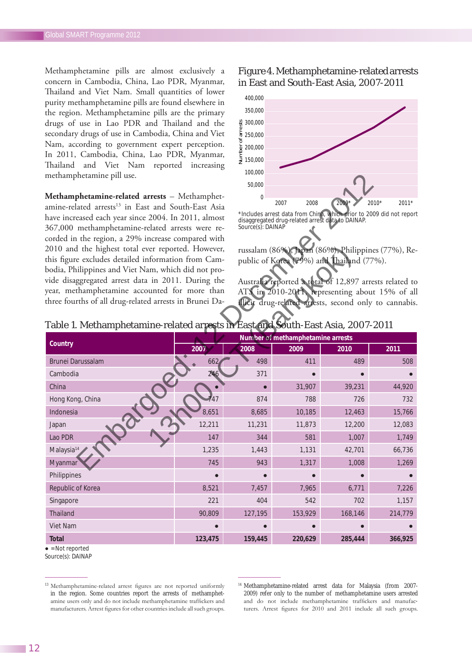Methamphetamine pills are almost exclusively a concern in Cambodia, China, Lao PDR, Myanmar, Thailand and Viet Nam. Small quantities of lower purity methamphetamine pills are found elsewhere in the region. Methamphetamine pills are the primary drugs of use in Lao PDR and Thailand and the secondary drugs of use in Cambodia, China and Viet Nam, according to government expert perception. In 2011, Cambodia, China, Lao PDR, Myanmar, Thailand and Viet Nam reported increasing methamphetamine pill use.

**Methamphetamine-related arrests** – Methamphetamine-related arrests<sup>13</sup> in East and South-East Asia have increased each year since 2004. In 2011, almost 367,000 methamphetamine-related arrests were recorded in the region, a 29% increase compared with 2010 and the highest total ever reported. However, this figure excludes detailed information from Cambodia, Philippines and Viet Nam, which did not provide disaggregated arrest data in 2011. During the year, methamphetamine accounted for more than three fourths of all drug-related arrests in Brunei Da-

### Figure 4. Methamphetamine-related arrests in East and South-East Asia, 2007-2011



\*Includes arrest data from China, which prior to 2009 did not report disaggregated drug-related arrest data to DAINAP. Source(s): DAINAP

russalam (86%), Japan (86%), Philippines (77%), Republic of Korea (79%) and Thailand (77%).

Australia reported a total of 12,897 arrests related to ATS in 2010-2011, representing about 15% of all illicit drug-related arrests, second only to cannabis.

| Country                  | Number of methamphetamine arrests |         |         |         |         |  |
|--------------------------|-----------------------------------|---------|---------|---------|---------|--|
|                          | 2007                              | 2008    | 2009    | 2010    | 2011    |  |
| <b>Brunei Darussalam</b> | 662                               | 498     | 411     | 489     | 508     |  |
| Cambodia                 | 246                               | 371     |         |         |         |  |
| China                    | $\bullet$                         |         | 31,907  | 39,231  | 44,920  |  |
| Hong Kong, China         | 747                               | 874     | 788     | 726     | 732     |  |
| Indonesia                | 8,651                             | 8,685   | 10,185  | 12,463  | 15,766  |  |
| Japan                    | 12,211                            | 11,231  | 11,873  | 12,200  | 12,083  |  |
| Lao PDR                  | 147                               | 344     | 581     | 1,007   | 1,749   |  |
| Malaysia <sup>14</sup>   | 1,235                             | 1,443   | 1,131   | 42,701  | 66,736  |  |
| Myanmar                  | 745                               | 943     | 1,317   | 1,008   | 1,269   |  |
| Philippines              |                                   |         |         |         |         |  |
| Republic of Korea        | 8,521                             | 7,457   | 7,965   | 6,771   | 7,226   |  |
| Singapore                | 221                               | 404     | 542     | 702     | 1,157   |  |
| Thailand                 | 90,809                            | 127,195 | 153,929 | 168,146 | 214,779 |  |
| Viet Nam                 |                                   |         |         |         |         |  |
| <b>Total</b>             | 123,475                           | 159,445 | 220,629 | 285,444 | 366,925 |  |

Table 1. Methamphetamine-related arrests in East and South-East Asia, 2007-2011

 $\bullet$  = Not reported

Source(s): DAINAP

<sup>&</sup>lt;sup>13</sup> Methamphetamine-related arrest figures are not reported uniformly in the region. Some countries report the arrests of methamphetamine users only and do not include methamphetamine traffickers and manufacturers. Arrest figures for other countries include all such groups.

<sup>14</sup> Methamphetamine-related arrest data for Malaysia (from 2007- 2009) refer only to the number of methamphetamine users arrested and do not include methamphetamine traffickers and manufacturers. Arrest figures for 2010 and 2011 include all such groups.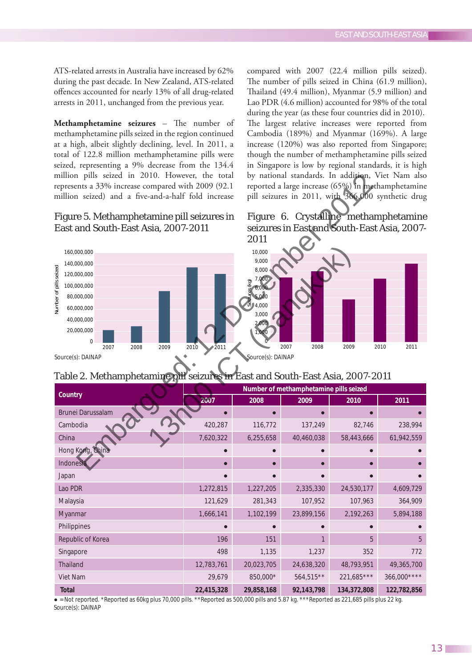ATS-related arrests in Australia have increased by 62% during the past decade. In New Zealand, ATS-related offences accounted for nearly 13% of all drug-related arrests in 2011, unchanged from the previous year.

**Methamphetamine seizures** – The number of methamphetamine pills seized in the region continued at a high, albeit slightly declining, level. In 2011, a total of 122.8 million methamphetamine pills were seized, representing a 9% decrease from the 134.4 million pills seized in 2010. However, the total represents a 33% increase compared with 2009 (92.1 million seized) and a five-and-a-half fold increase

## Figure 5. Methamphetamine pill seizures in East and South-East Asia, 2007-2011



Source(s): DAINAP

compared with 2007 (22.4 million pills seized). The number of pills seized in China (61.9 million), Thailand (49.4 million), Myanmar (5.9 million) and Lao PDR (4.6 million) accounted for 98% of the total during the year (as these four countries did in 2010).

The largest relative increases were reported from Cambodia (189%) and Myanmar (169%). A large increase (120%) was also reported from Singapore; though the number of methamphetamine pills seized in Singapore is low by regional standards, it is high by national standards. In addition, Viet Nam also reported a large increase (65%) in methamphetamine pill seizures in 2011, with 366,000 synthetic drug

# Figure 6. Crystalline methamphetamine seizures in East and South-East Asia, 2007- 2011



# Table 2. Methamphetamine pill seizures in East and South-East Asia, 2007-2011

| Country                  | Number of methamphetamine pills seized |            |             |             |             |  |
|--------------------------|----------------------------------------|------------|-------------|-------------|-------------|--|
|                          | 2007                                   | 2008       | 2009        | 2010        | 2011        |  |
| <b>Brunei Darussalam</b> |                                        | $\bullet$  |             |             |             |  |
| Cambodia                 | 420,287                                | 116,772    | 137,249     | 82,746      | 238,994     |  |
| China                    | 7,620,322                              | 6,255,658  | 40,460,038  | 58,443,666  | 61,942,559  |  |
| Hong Kong, China         |                                        |            |             |             |             |  |
| Indonesia                |                                        | $\bullet$  |             |             |             |  |
| Japan                    |                                        |            |             |             |             |  |
| Lao PDR                  | 1,272,815                              | 1,227,205  | 2,335,330   | 24,530,177  | 4,609,729   |  |
| Malaysia                 | 121,629                                | 281,343    | 107,952     | 107,963     | 364,909     |  |
| Myanmar                  | 1,666,141                              | 1,102,199  | 23,899,156  | 2,192,263   | 5,894,188   |  |
| Philippines              |                                        |            |             |             |             |  |
| Republic of Korea        | 196                                    | 151        |             | 5           | 5           |  |
| Singapore                | 498                                    | 1,135      | 1,237       | 352         | 772         |  |
| Thailand                 | 12,783,761                             | 20,023,705 | 24,638,320  | 48,793,951  | 49,365,700  |  |
| Viet Nam                 | 29,679                                 | 850,000*   | $564,515**$ | 221,685***  | 366,000**** |  |
| <b>Total</b>             | 22,415,328                             | 29,858,168 | 92,143,798  | 134,372,808 | 122,782,856 |  |

 $\bullet$  = Not reported. \*Reported as 60kg plus 70,000 pills. \*\*Reported as 500,000 pills and 5.87 kg. \*\*\*Reported as 221,685 pills plus 22 kg. Source(s): DAINAP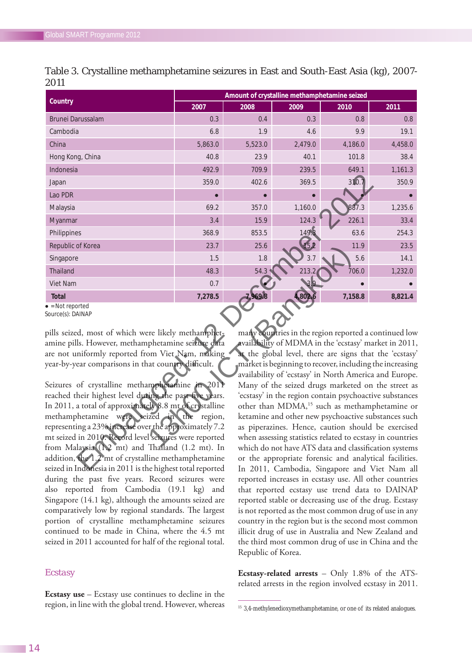| Country                  | Amount of crystalline methamphetamine seized |         |           |         |         |  |
|--------------------------|----------------------------------------------|---------|-----------|---------|---------|--|
|                          | 2007                                         | 2008    | 2009      | 2010    | 2011    |  |
| <b>Brunei Darussalam</b> | 0.3                                          | 0.4     | 0.3       | 0.8     | 0.8     |  |
| Cambodia                 | 6.8                                          | 1.9     | 4.6       | 9.9     | 19.1    |  |
| China                    | 5,863.0                                      | 5,523.0 | 2,479.0   | 4,186.0 | 4,458.0 |  |
| Hong Kong, China         | 40.8                                         | 23.9    | 40.1      | 101.8   | 38.4    |  |
| Indonesia                | 492.9                                        | 709.9   | 239.5     | 649.1   | 1,161.3 |  |
| Japan                    | 359.0                                        | 402.6   | 369.5     | 310.7   | 350.9   |  |
| Lao PDR                  | $\bullet$                                    |         | $\bullet$ | г       |         |  |
| Malaysia                 | 69.2                                         | 357.0   | 1,160.0   | 887.3   | 1,235.6 |  |
| Myanmar                  | 3.4                                          | 15.9    | 124.3     | 226.1   | 33.4    |  |
| Philippines              | 368.9                                        | 853.5   | 149.3     | 63.6    | 254.3   |  |
| Republic of Korea        | 23.7                                         | 25.6    | 15.2      | 11.9    | 23.5    |  |
| Singapore                | 1.5                                          | 1.8     | 3.7       | 5.6     | 14.1    |  |
| <b>Thailand</b>          | 48.3                                         | 54.3    | 213.2     | 706.0   | 1,232.0 |  |
| Viet Nam                 | 0.7                                          |         | 3.9       |         |         |  |
| <b>Total</b>             | 7,278.5                                      | 7,969.8 | 4,802.6   | 7,158.8 | 8,821.4 |  |

|      | Table 3. Crystalline methamphetamine seizures in East and South-East Asia (kg), 2007- |  |  |  |
|------|---------------------------------------------------------------------------------------|--|--|--|
| 2011 |                                                                                       |  |  |  |

 $\bullet$  = Not reported Source(s): DAINAP

pills seized, most of which were likely methamphetamine pills. However, methamphetamine seizure data are not uniformly reported from Viet Nam, making year-by-year comparisons in that country difficult.

Seizures of crystalline methamphetamine in 2011 reached their highest level during the past five years. In 2011, a total of approximately 8.8 mt of crystalline methamphetamine were seized in the region, representing a 23% increase over the approximately 7.2 mt seized in 2010. Record level seizures were reported from Malaysia (1.2 mt) and Thailand (1.2 mt). In addition, the 1.2 mt of crystalline methamphetamine seized in Indonesia in 2011 is the highest total reported during the past five years. Record seizures were also reported from Cambodia (19.1 kg) and Singapore (14.1 kg), although the amounts seized are comparatively low by regional standards. The largest portion of crystalline methamphetamine seizures continued to be made in China, where the 4.5 mt seized in 2011 accounted for half of the regional total.

### *Ecstasy*

**Ecstasy use** – Ecstasy use continues to decline in the region, in line with the global trend. However, whereas many countries in the region reported a continued low availability of MDMA in the 'ecstasy' market in 2011, at the global level, there are signs that the 'ecstasy' market is beginning to recover, including the increasing availability of 'ecstasy' in North America and Europe. Many of the seized drugs marketed on the street as 'ecstasy' in the region contain psychoactive substances other than MDMA,<sup>15</sup> such as methamphetamine or ketamine and other new psychoactive substances such as piperazines. Hence, caution should be exercised when assessing statistics related to ecstasy in countries which do not have ATS data and classification systems or the appropriate forensic and analytical facilities. In 2011, Cambodia, Singapore and Viet Nam all reported increases in ecstasy use. All other countries that reported ecstasy use trend data to DAINAP reported stable or decreasing use of the drug. Ecstasy is not reported as the most common drug of use in any country in the region but is the second most common illicit drug of use in Australia and New Zealand and the third most common drug of use in China and the Republic of Korea.

**Ecstasy-related arrests** – Only 1.8% of the ATSrelated arrests in the region involved ecstasy in 2011.

<sup>&</sup>lt;sup>15</sup> 3,4-methylenedioxymethamphetamine, or one of its related analogues.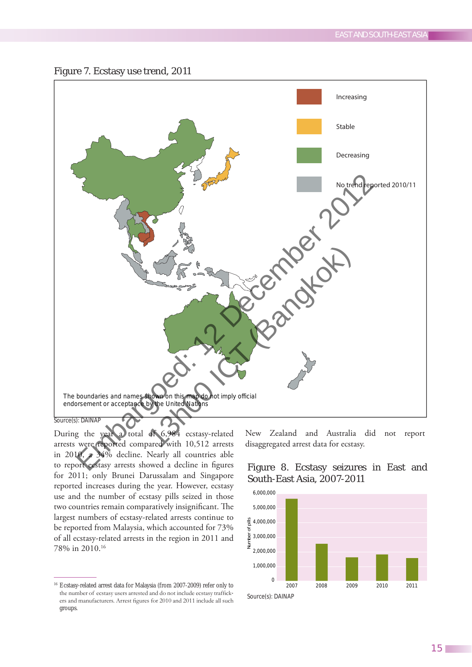

During the year a total of 6,984 ecstasy-related arrests were reported compared with 10,512 arrests in 2010, a 34% decline. Nearly all countries able to report ecstasy arrests showed a decline in figures for 2011; only Brunei Darussalam and Singapore reported increases during the year. However, ecstasy use and the number of ecstasy pills seized in those two countries remain comparatively insignificant. The largest numbers of ecstasy-related arrests continue to be reported from Malaysia, which accounted for 73% of all ecstasy-related arrests in the region in 2011 and 78% in 2010.16

New Zealand and Australia did not report disaggregated arrest data for ecstasy.





<sup>16</sup> Ecstasy-related arrest data for Malaysia (from 2007-2009) refer only to the number of ecstasy users arrested and do not include ecstasy traffickers and manufacturers. Arrest figures for 2010 and 2011 include all such groups.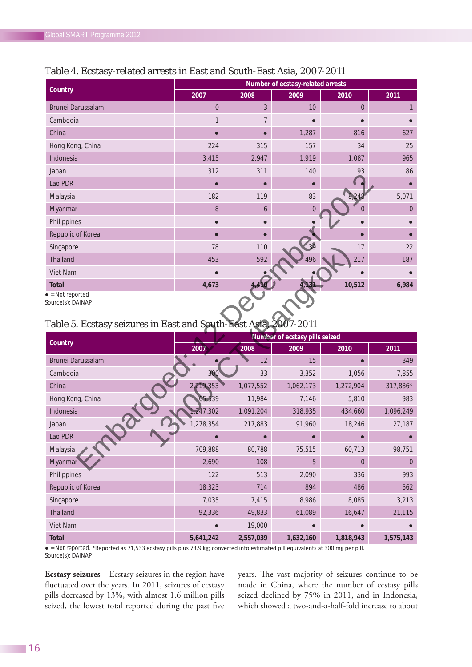|                   | Number of ecstasy-related arrests |                |                |                |                |  |
|-------------------|-----------------------------------|----------------|----------------|----------------|----------------|--|
| Country           | 2007                              | 2008           | 2009           | 2010           | 2011           |  |
| Brunei Darussalam | $\overline{0}$                    | $\mathfrak{Z}$ | 10             | $\overline{0}$ | 1              |  |
| Cambodia          | $\mathbf{1}$                      | $\overline{7}$ |                | $\bullet$      |                |  |
| China             |                                   | $\bullet$      | 1,287          | 816            | 627            |  |
| Hong Kong, China  | 224                               | 315            | 157            | 34             | 25             |  |
| Indonesia         | 3,415                             | 2,947          | 1,919          | 1,087          | 965            |  |
| Japan             | 312                               | 311            | 140            | 93             | 86             |  |
| Lao PDR           | $\bullet$                         | $\bullet$      |                | $\bullet$      | $\bullet$      |  |
| Malaysia          | 182                               | 119            | 83             | 8,248          | 5,071          |  |
| Myanmar           | 8                                 | 6              | $\overline{0}$ | 0              | $\overline{0}$ |  |
| Philippines       |                                   |                |                |                |                |  |
| Republic of Korea |                                   |                |                |                |                |  |
| Singapore         | 78                                | 110            | 39             | 17             | 22             |  |
| Thailand          | 453                               | 592            | 496            | 217            | 187            |  |
| Viet Nam          |                                   |                |                |                |                |  |
| <b>Total</b>      | 4,673                             | 4,410          | 4,131          | 10,512         | 6,984          |  |

## Table 4. Ecstasy-related arrests in East and South-East Asia, 2007-2011

 $\bullet$  = Not reported

Source(s): DAINAP

## Table 5. Ecstasy seizures in East and South-East Asia, 2007-2011

|                   | Number of ecstasy pills seized |           |           |           |                |  |
|-------------------|--------------------------------|-----------|-----------|-----------|----------------|--|
| Country           | 2007                           | 2008      | 2009      | 2010      | 2011           |  |
| Brunei Darussalam | $\bullet$                      | 12        | 15        |           | 349            |  |
| Cambodia          | 300                            | 33        | 3,352     | 1,056     | 7,855          |  |
| China             | 2,219,353                      | 1,077,552 | 1,062,173 | 1,272,904 | 317,886*       |  |
| Hong Kong, China  | 65,539                         | 11,984    | 7,146     | 5,810     | 983            |  |
| Indonesia         | 1,247,302                      | 1,091,204 | 318,935   | 434,660   | 1,096,249      |  |
| Japan             | 1,278,354                      | 217,883   | 91,960    | 18,246    | 27,187         |  |
| Lao PDR           |                                |           |           |           |                |  |
| Malaysia          | 709,888                        | 80,788    | 75,515    | 60,713    | 98,751         |  |
| Myanmar           | 2,690                          | 108       | 5         | $\Omega$  | $\overline{0}$ |  |
| Philippines       | 122                            | 513       | 2,090     | 336       | 993            |  |
| Republic of Korea | 18,323                         | 714       | 894       | 486       | 562            |  |
| Singapore         | 7,035                          | 7,415     | 8,986     | 8,085     | 3,213          |  |
| Thailand          | 92,336                         | 49,833    | 61,089    | 16,647    | 21,115         |  |
| Viet Nam          |                                | 19,000    |           |           |                |  |
| <b>Total</b>      | 5,641,242                      | 2,557,039 | 1,632,160 | 1,818,943 | 1,575,143      |  |

• = Not reported. \*Reported as 71,533 ecstasy pills plus 73.9 kg; converted into estimated pill equivalents at 300 mg per pill. Source(s): DAINAP

**Ecstasy seizures** – Ecstasy seizures in the region have fluctuated over the years. In 2011, seizures of ecstasy pills decreased by 13%, with almost 1.6 million pills seized, the lowest total reported during the past five

years. The vast majority of seizures continue to be made in China, where the number of ecstasy pills seized declined by 75% in 2011, and in Indonesia, which showed a two-and-a-half-fold increase to about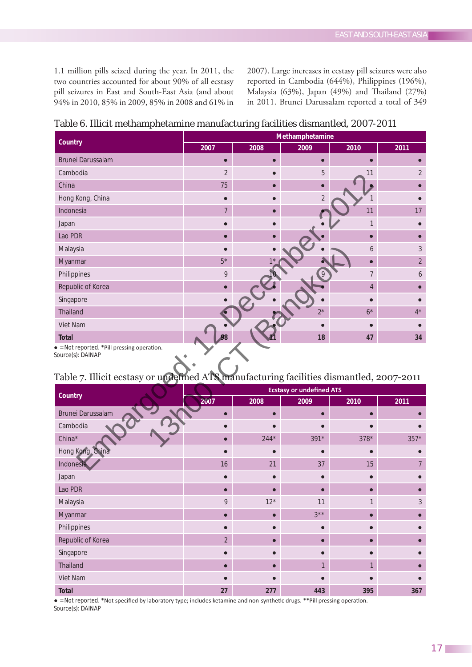1.1 million pills seized during the year. In 2011, the two countries accounted for about 90% of all ecstasy pill seizures in East and South-East Asia (and about 94% in 2010, 85% in 2009, 85% in 2008 and 61% in 2007). Large increases in ecstasy pill seizures were also reported in Cambodia (644%), Philippines (196%), Malaysia (63%), Japan (49%) and Thailand (27%) in 2011. Brunei Darussalam reported a total of 349

| Table 6. Illicit methamphetamine manufacturing facilities dismantled, 2007-2011 |  |  |
|---------------------------------------------------------------------------------|--|--|
|---------------------------------------------------------------------------------|--|--|

| Country           | Methamphetamine |             |                |                |                |  |
|-------------------|-----------------|-------------|----------------|----------------|----------------|--|
|                   | 2007            | 2008        | 2009           | 2010           | 2011           |  |
| Brunei Darussalam | О               | $\bullet$   |                |                |                |  |
| Cambodia          | $\overline{2}$  |             | 5              | 11             | $\overline{2}$ |  |
| China             | 75              | $\bullet$   |                |                |                |  |
| Hong Kong, China  |                 |             | $\overline{2}$ | 1              |                |  |
| Indonesia         | 7               |             |                | 11             | 17             |  |
| Japan             |                 |             |                | 1              |                |  |
| Lao PDR           | Г               | $\bullet$   |                |                |                |  |
| Malaysia          |                 |             |                | 6              | 3              |  |
| Myanmar           | $5*$            | $1^{\star}$ |                |                | $\overline{2}$ |  |
| Philippines       | 9               | 10          | 9              | 7              | 6              |  |
| Republic of Korea |                 | $\bullet$   |                | $\overline{4}$ |                |  |
| Singapore         |                 |             |                |                |                |  |
| Thailand          |                 |             | $2^{\star}$    | $6^{\star}$    | $4^*$          |  |
| Viet Nam          |                 |             |                |                |                |  |
| <b>Total</b>      | 98              | 11          | 18             | 47             | 34             |  |

• = Not reported. \*Pill pressing operation.

Source(s): DAINAP

# Table 7. Illicit ecstasy or undefined ATS manufacturing facilities dismantled, 2007-2011

| Country           | <b>Ecstasy or undefined ATS</b> |        |        |        |        |  |
|-------------------|---------------------------------|--------|--------|--------|--------|--|
|                   | 2007                            | 2008   | 2009   | 2010   | 2011   |  |
| Brunei Darussalam |                                 |        |        |        |        |  |
| Cambodia          |                                 |        |        |        |        |  |
| China*            |                                 | $244*$ | $391*$ | $378*$ | $357*$ |  |
| Hong Kong, China  |                                 |        |        |        |        |  |
| Indonesia         | 16                              | 21     | 37     | 15     |        |  |
| Japan             |                                 |        |        |        |        |  |
| Lao PDR           |                                 | ⋒      |        |        |        |  |
| Malaysia          | 9                               | $12*$  | 11     |        | 3      |  |
| Myanmar           |                                 |        | $3***$ |        |        |  |
| Philippines       |                                 |        |        |        |        |  |
| Republic of Korea | $\overline{2}$                  |        |        |        |        |  |
| Singapore         |                                 |        |        |        |        |  |
| Thailand          |                                 |        |        |        |        |  |
| Viet Nam          |                                 |        |        |        |        |  |
| <b>Total</b>      | 27                              | 277    | 443    | 395    | 367    |  |

• = Not reported. \*Not specified by laboratory type; includes ketamine and non-synthetic drugs. \*\*Pill pressing operation. Source(s): DAINAP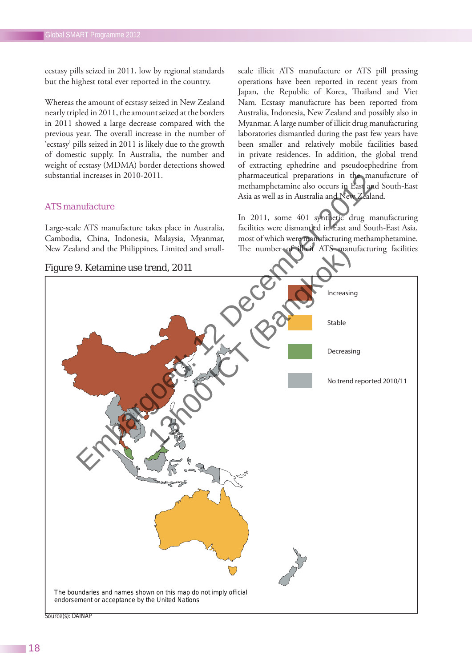ecstasy pills seized in 2011, low by regional standards but the highest total ever reported in the country.

Whereas the amount of ecstasy seized in New Zealand nearly tripled in 2011, the amount seized at the borders in 2011 showed a large decrease compared with the previous year. The overall increase in the number of 'ecstasy' pills seized in 2011 is likely due to the growth of domestic supply. In Australia, the number and weight of ecstasy (MDMA) border detections showed substantial increases in 2010-2011.

#### *ATS manufacture*

Large-scale ATS manufacture takes place in Australia, Cambodia, China, Indonesia, Malaysia, Myanmar, New Zealand and the Philippines. Limited and small-

Figure 9. Ketamine use trend, 2011

scale illicit ATS manufacture or ATS pill pressing operations have been reported in recent years from Japan, the Republic of Korea, Thailand and Viet Nam. Ecstasy manufacture has been reported from Australia, Indonesia, New Zealand and possibly also in Myanmar. A large number of illicit drug manufacturing laboratories dismantled during the past few years have been smaller and relatively mobile facilities based in private residences. In addition, the global trend of extracting ephedrine and pseudoephedrine from pharmaceutical preparations in the manufacture of methamphetamine also occurs in East and South-East Asia as well as in Australia and New Zealand.

In 2011, some 401 synthetic drug manufacturing facilities were dismantled in East and South-East Asia, most of which were manufacturing methamphetamine. The number of illicit ATS manufacturing facilities



Source(s): DAINAP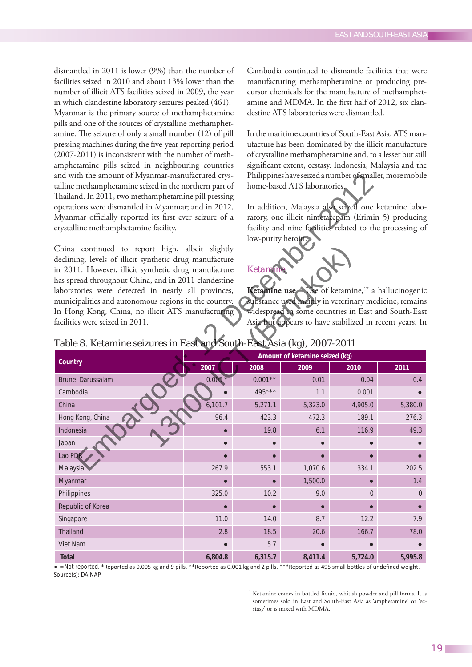dismantled in 2011 is lower (9%) than the number of facilities seized in 2010 and about 13% lower than the number of illicit ATS facilities seized in 2009, the year in which clandestine laboratory seizures peaked (461). Myanmar is the primary source of methamphetamine pills and one of the sources of crystalline methamphetamine. The seizure of only a small number (12) of pill pressing machines during the five-year reporting period (2007-2011) is inconsistent with the number of methamphetamine pills seized in neighbouring countries and with the amount of Myanmar-manufactured crystalline methamphetamine seized in the northern part of Thailand. In 2011, two methamphetamine pill pressing operations were dismantled in Myanmar; and in 2012, Myanmar officially reported its first ever seizure of a crystalline methamphetamine facility.

China continued to report high, albeit slightly declining, levels of illicit synthetic drug manufacture in 2011. However, illicit synthetic drug manufacture has spread throughout China, and in 2011 clandestine laboratories were detected in nearly all provinces, municipalities and autonomous regions in the country. In Hong Kong, China, no illicit ATS manufacturing facilities were seized in 2011.

Cambodia continued to dismantle facilities that were manufacturing methamphetamine or producing precursor chemicals for the manufacture of methamphetamine and MDMA. In the first half of 2012, six clandestine ATS laboratories were dismantled.

In the maritime countries of South-East Asia, ATS manufacture has been dominated by the illicit manufacture of crystalline methamphetamine and, to a lesser but still significant extent, ecstasy. Indonesia, Malaysia and the Philippines have seized a number of smaller, more mobile home-based ATS laboratories.

In addition, Malaysia also seized one ketamine laboratory, one illicit nimetazepam (Erimin 5) producing facility and nine facilities related to the processing of low-purity heroin.

### *Ketamine*

**Ketamine use** – Use of ketamine,<sup>17</sup> a hallucinogenic substance used mainly in veterinary medicine, remains widespread in some countries in East and South-East Asia but appears to have stabilized in recent years. In

| Table 8. Ketamine seizures in East and South-East Asia (kg), 2007-2011 |
|------------------------------------------------------------------------|
|------------------------------------------------------------------------|

|                          | $\sim$<br>Amount of ketamine seized (kg) |           |         |                |          |  |
|--------------------------|------------------------------------------|-----------|---------|----------------|----------|--|
| Country                  | 2007                                     | 2008      | 2009    | 2010           | 2011     |  |
| <b>Brunei Darussalam</b> | $0.005*$                                 | $0.001**$ | 0.01    | 0.04           | 0.4      |  |
| Cambodia                 | ∙                                        | 495***    | 1.1     | 0.001          |          |  |
| China                    | 6,101.7                                  | 5,271.1   | 5,323.0 | 4,905.0        | 5,380.0  |  |
| Hong Kong, China         | 96.4                                     | 423.3     | 472.3   | 189.1          | 276.3    |  |
| Indonesia                | $\bullet$                                | 19.8      | 6.1     | 116.9          | 49.3     |  |
| Japan                    |                                          |           |         |                |          |  |
| Lao PDR                  | Г                                        | $\bullet$ |         |                |          |  |
| Malaysia                 | 267.9                                    | 553.1     | 1,070.6 | 334.1          | 202.5    |  |
| Myanmar                  | г                                        | $\bullet$ | 1,500.0 |                | 1.4      |  |
| Philippines              | 325.0                                    | 10.2      | 9.0     | $\overline{0}$ | $\Omega$ |  |
| Republic of Korea        | г                                        | $\bullet$ |         |                |          |  |
| Singapore                | 11.0                                     | 14.0      | 8.7     | 12.2           | 7.9      |  |
| Thailand                 | 2.8                                      | 18.5      | 20.6    | 166.7          | 78.0     |  |
| Viet Nam                 | $\bullet$                                | 5.7       |         |                |          |  |
| <b>Total</b>             | 6,804.8                                  | 6,315.7   | 8,411.4 | 5,724.0        | 5,995.8  |  |

• = Not reported. \*Reported as 0.005 kg and 9 pills. \*\*Reported as 0.001 kg and 2 pills. \*\*\*Reported as 495 small bottles of undefined weight. Source(s): DAINAP

<sup>&</sup>lt;sup>17</sup> Ketamine comes in bottled liquid, whitish powder and pill forms. It is sometimes sold in East and South-East Asia as 'amphetamine' or 'ecstasy' or is mixed with MDMA.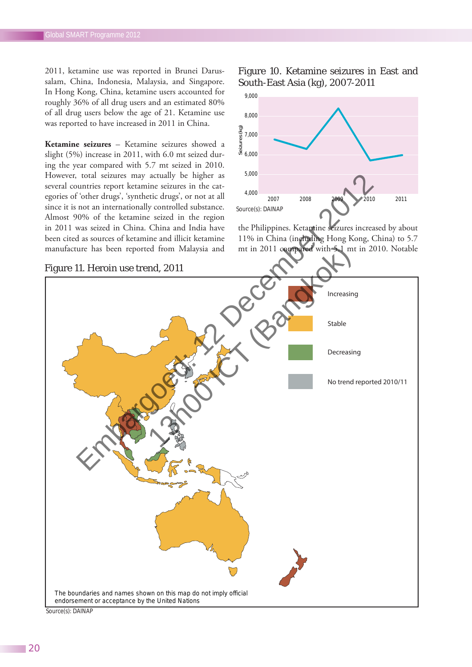2011, ketamine use was reported in Brunei Darussalam, China, Indonesia, Malaysia, and Singapore. In Hong Kong, China, ketamine users accounted for roughly 36% of all drug users and an estimated 80% of all drug users below the age of 21. Ketamine use was reported to have increased in 2011 in China.

**Ketamine seizures** – Ketamine seizures showed a slight (5%) increase in 2011, with 6.0 mt seized during the year compared with 5.7 mt seized in 2010. However, total seizures may actually be higher as several countries report ketamine seizures in the categories of 'other drugs', 'synthetic drugs', or not at all since it is not an internationally controlled substance. Almost 90% of the ketamine seized in the region in 2011 was seized in China. China and India have been cited as sources of ketamine and illicit ketamine manufacture has been reported from Malaysia and

Figure 10. Ketamine seizures in East and South-East Asia (kg), 2007-2011



the Philippines. Ketamine seizures increased by about 11% in China (including Hong Kong, China) to 5.7 mt in 2011 compared with 5.1 mt in 2010. Notable



Source(s): DAINAP

#### Figure 11. Heroin use trend, 2011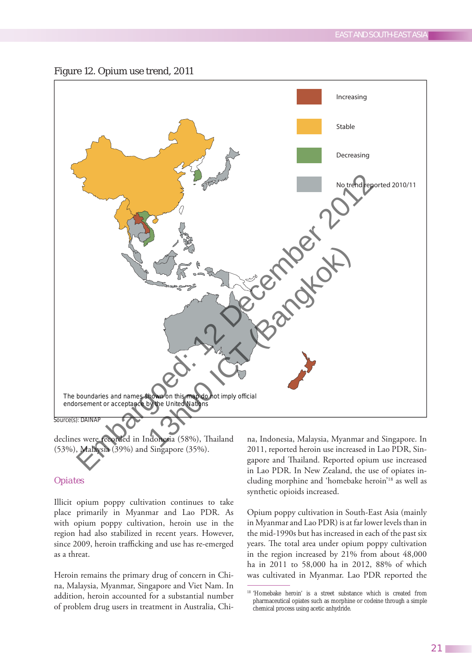

declines were recorded in Indonesia (58%), Thailand (53%), Malaysia (39%) and Singapore (35%).

### *Opiates*

Illicit opium poppy cultivation continues to take place primarily in Myanmar and Lao PDR. As with opium poppy cultivation, heroin use in the region had also stabilized in recent years. However, since 2009, heroin trafficking and use has re-emerged as a threat.

Heroin remains the primary drug of concern in China, Malaysia, Myanmar, Singapore and Viet Nam. In addition, heroin accounted for a substantial number of problem drug users in treatment in Australia, China, Indonesia, Malaysia, Myanmar and Singapore. In 2011, reported heroin use increased in Lao PDR, Singapore and Thailand. Reported opium use increased in Lao PDR. In New Zealand, the use of opiates including morphine and 'homebake heroin'18 as well as synthetic opioids increased.

Opium poppy cultivation in South-East Asia (mainly in Myanmar and Lao PDR) is at far lower levels than in the mid-1990s but has increased in each of the past six years. The total area under opium poppy cultivation in the region increased by 21% from about 48,000 ha in 2011 to 58,000 ha in 2012, 88% of which was cultivated in Myanmar. Lao PDR reported the

<sup>&</sup>lt;sup>18</sup> 'Homebake heroin' is a street substance which is created from pharmaceutical opiates such as morphine or codeine through a simple chemical process using acetic anhydride.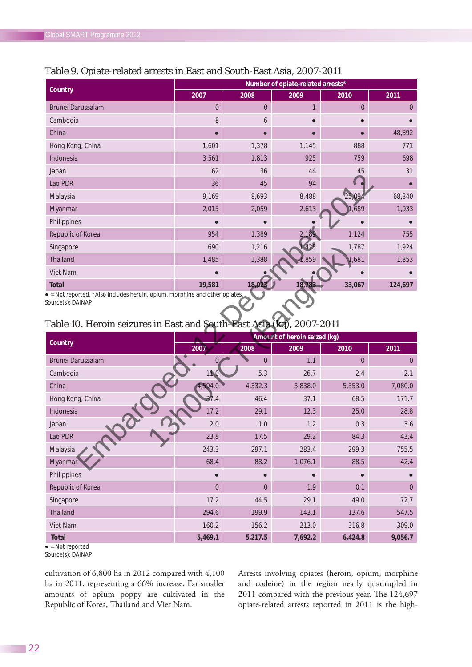| Country                  | Number of opiate-related arrests* |                |              |                |                |  |
|--------------------------|-----------------------------------|----------------|--------------|----------------|----------------|--|
|                          | 2007                              | 2008           | 2009         | 2010           | 2011           |  |
| <b>Brunei Darussalam</b> | $\overline{0}$                    | $\overline{0}$ | $\mathbf{1}$ | $\overline{0}$ | $\overline{0}$ |  |
| Cambodia                 | 8                                 | 6              |              |                |                |  |
| China                    | г                                 | $\bullet$      |              |                | 48,392         |  |
| Hong Kong, China         | 1,601                             | 1,378          | 1,145        | 888            | 771            |  |
| Indonesia                | 3,561                             | 1,813          | 925          | 759            | 698            |  |
| Japan                    | 62                                | 36             | 44           | 45             | 31             |  |
| Lao PDR                  | 36                                | 45             | 94           |                |                |  |
| Malaysia                 | 9,169                             | 8,693          | 8,488        | 25,094         | 68,340         |  |
| Myanmar                  | 2,015                             | 2,059          | 2,613        | 1,689          | 1,933          |  |
| Philippines              |                                   |                |              |                |                |  |
| Republic of Korea        | 954                               | 1,389          | 2,189        | 1,124          | 755            |  |
| Singapore                | 690                               | 1,216          | 1,425        | 1,787          | 1,924          |  |
| <b>Thailand</b>          | 1,485                             | 1,388          | 1,859        | 1,681          | 1,853          |  |
| Viet Nam                 |                                   |                |              |                |                |  |
| <b>Total</b>             | 19,581                            | 18,023         | 18,783       | 33,067         | 124,697        |  |

## Table 9. Opiate-related arrests in East and South-East Asia, 2007-2011

 $\bullet$  = Not reported. \*Also includes heroin, opium, morphine and other opiates.

Source(s): DAINAP

## Table 10. Heroin seizures in East and South-East Asia (kg), 2007-2011

| Country                  | Amount of heroin seized (kg) |                |         |          |                |  |
|--------------------------|------------------------------|----------------|---------|----------|----------------|--|
|                          | 2007                         | 2008           | 2009    | 2010     | 2011           |  |
| <b>Brunei Darussalam</b> | $\overline{0}$               | $\Omega$       | 1.1     | $\Omega$ | $\overline{0}$ |  |
| Cambodia                 | 11.0                         | 5.3            | 26.7    | 2.4      | 2.1            |  |
| China                    | 4,594.0                      | 4,332.3        | 5,838.0 | 5,353.0  | 7,080.0        |  |
| Hong Kong, China         | 37.4                         | 46.4           | 37.1    | 68.5     | 171.7          |  |
| Indonesia                | 17.2                         | 29.1           | 12.3    | 25.0     | 28.8           |  |
| Japan                    | 2.0                          | 1.0            | 1.2     | 0.3      | 3.6            |  |
| Lao PDR                  | 23.8                         | 17.5           | 29.2    | 84.3     | 43.4           |  |
| Malaysia                 | 243.3                        | 297.1          | 283.4   | 299.3    | 755.5          |  |
| Myanmar                  | 68.4                         | 88.2           | 1,076.1 | 88.5     | 42.4           |  |
| Philippines              | $\bullet$                    |                |         |          |                |  |
| Republic of Korea        | $\overline{0}$               | $\overline{0}$ | 1.9     | 0.1      | $\overline{0}$ |  |
| Singapore                | 17.2                         | 44.5           | 29.1    | 49.0     | 72.7           |  |
| <b>Thailand</b>          | 294.6                        | 199.9          | 143.1   | 137.6    | 547.5          |  |
| Viet Nam                 | 160.2                        | 156.2          | 213.0   | 316.8    | 309.0          |  |
| <b>Total</b>             | 5,469.1                      | 5,217.5        | 7,692.2 | 6,424.8  | 9,056.7        |  |

 $\bullet$  = Not reported

Source(s): DAINAP

cultivation of 6,800 ha in 2012 compared with 4,100 ha in 2011, representing a 66% increase. Far smaller amounts of opium poppy are cultivated in the Republic of Korea, Thailand and Viet Nam.

Arrests involving opiates (heroin, opium, morphine and codeine) in the region nearly quadrupled in 2011 compared with the previous year. The 124,697 opiate-related arrests reported in 2011 is the high-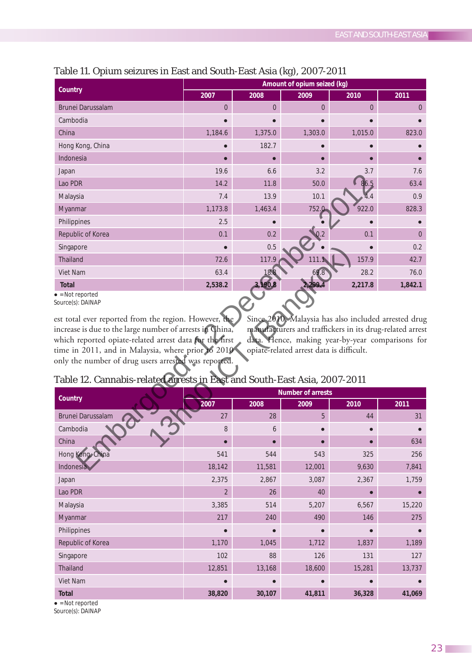| Country                  | Amount of opium seized (kg) |                |                |                |                |
|--------------------------|-----------------------------|----------------|----------------|----------------|----------------|
|                          | 2007                        | 2008           | 2009           | 2010           | 2011           |
| <b>Brunei Darussalam</b> | $\overline{0}$              | $\overline{0}$ | $\overline{0}$ | $\overline{0}$ | $\overline{0}$ |
| Cambodia                 |                             |                |                |                |                |
| China                    | 1,184.6                     | 1,375.0        | 1,303.0        | 1,015.0        | 823.0          |
| Hong Kong, China         |                             | 182.7          |                |                |                |
| Indonesia                | $\bullet$                   | $\bullet$      |                |                |                |
| Japan                    | 19.6                        | 6.6            | 3.2            | 3.7            | 7.6            |
| Lao PDR                  | 14.2                        | 11.8           | 50.0           | 86.5           | 63.4           |
| Malaysia                 | 7.4                         | 13.9           | 10.1           | 4.4            | 0.9            |
| Myanmar                  | 1,173.8                     | 1,463.4        | 752.0          | 922.0          | 828.3          |
| Philippines              | 2.5                         |                |                |                |                |
| Republic of Korea        | 0.1                         | 0.2            | 0.2            | 0.1            | $\Omega$       |
| Singapore                | $\bullet$                   | 0.5            |                | $\bullet$      | 0.2            |
| Thailand                 | 72.6                        | 117.9          | 111.1          | 157.9          | 42.7           |
| Viet Nam                 | 63.4                        | 18.8           | 69.8           | 28.2           | 76.0           |
| <b>Total</b>             | 2,538.2                     | 3,190.8        | 2,299.4        | 2,217.8        | 1,842.1        |

# Table 11. Opium seizures in East and South-East Asia (kg), 2007-2011

 $\bullet$  = Not reported

Source(s): DAINAP

est total ever reported from the region. However, the increase is due to the large number of arrests in China, which reported opiate-related arrest data for the first time in 2011, and in Malaysia, where prior to 2010 only the number of drug users arrested was reported. Since 2010, Malaysia has also included arrested drug manufacturers and traffickers in its drug-related arrest data. Hence, making year-by-year comparisons for opiate-related arrest data is difficult.

| <b>Number of arrests</b> |           |           |        |        |  |
|--------------------------|-----------|-----------|--------|--------|--|
| 2007                     | 2008      | 2009      | 2010   | 2011   |  |
| 27                       | 28        | 5         | 44     | 31     |  |
| 8                        | 6         |           |        |        |  |
| $\bullet$                | $\bullet$ |           |        | 634    |  |
| 541                      | 544       | 543       | 325    | 256    |  |
| 18,142                   | 11,581    | 12,001    | 9,630  | 7,841  |  |
| 2,375                    | 2,867     | 3,087     | 2,367  | 1,759  |  |
| $\overline{2}$           | 26        | 40        |        |        |  |
| 3,385                    | 514       | 5,207     | 6,567  | 15,220 |  |
| 217                      | 240       | 490       | 146    | 275    |  |
| $\bullet$                | $\bullet$ | $\bullet$ |        |        |  |
| 1,170                    | 1,045     | 1,712     | 1,837  | 1,189  |  |
| 102                      | 88        | 126       | 131    | 127    |  |
| 12,851                   | 13,168    | 18,600    | 15,281 | 13,737 |  |
|                          |           |           |        |        |  |
| 38,820                   | 30,107    | 41,811    | 36,328 | 41,069 |  |
|                          |           |           |        |        |  |

## Table 12. Cannabis-related arrests in East and South-East Asia, 2007-2011

 $\bullet$  = Not reported

Source(s): DAINAP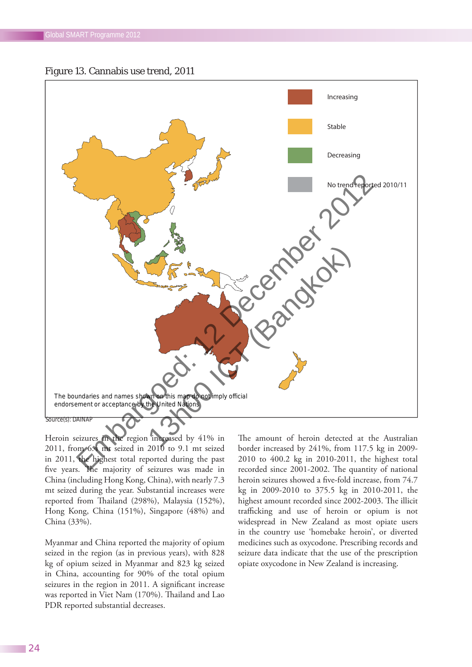



Source(s): DAINAP

Heroin seizures in the region increased by 41% in 2011, from 6.4 mt seized in 2010 to 9.1 mt seized in 2011, the highest total reported during the past five years. The majority of seizures was made in China (including Hong Kong, China), with nearly 7.3 mt seized during the year. Substantial increases were reported from Thailand (298%), Malaysia (152%), Hong Kong, China (151%), Singapore (48%) and China (33%).

Myanmar and China reported the majority of opium seized in the region (as in previous years), with 828 kg of opium seized in Myanmar and 823 kg seized in China, accounting for 90% of the total opium seizures in the region in 2011. A significant increase was reported in Viet Nam (170%). Thailand and Lao PDR reported substantial decreases.

The amount of heroin detected at the Australian border increased by 241%, from 117.5 kg in 2009- 2010 to 400.2 kg in 2010-2011, the highest total recorded since 2001-2002. The quantity of national heroin seizures showed a five-fold increase, from 74.7 kg in 2009-2010 to 375.5 kg in 2010-2011, the highest amount recorded since 2002-2003. The illicit trafficking and use of heroin or opium is not widespread in New Zealand as most opiate users in the country use 'homebake heroin', or diverted medicines such as oxycodone. Prescribing records and seizure data indicate that the use of the prescription opiate oxycodone in New Zealand is increasing.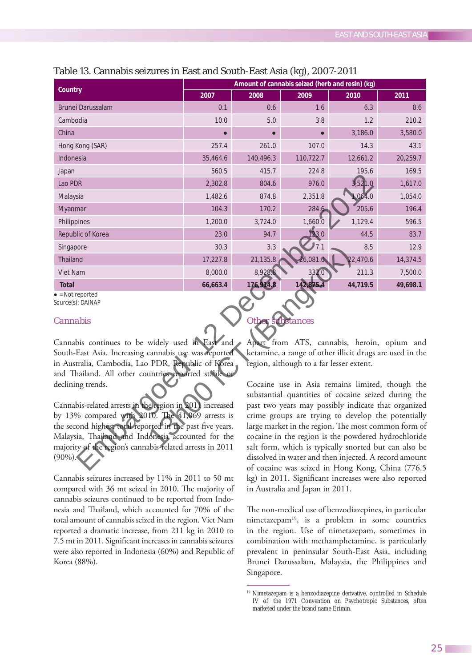| Country                     | Amount of cannabis seized (herb and resin) (kg) |           |           |          |          |  |
|-----------------------------|-------------------------------------------------|-----------|-----------|----------|----------|--|
|                             | 2007                                            | 2008      | 2009      | 2010     | 2011     |  |
| <b>Brunei Darussalam</b>    | 0.1                                             | 0.6       | 1.6       | 6.3      | 0.6      |  |
| Cambodia                    | 10.0                                            | 5.0       | 3.8       | 1.2      | 210.2    |  |
| China                       | $\bullet$                                       | $\bullet$ |           | 3,186.0  | 3,580.0  |  |
| Hong Kong (SAR)             | 257.4                                           | 261.0     | 107.0     | 14.3     | 43.1     |  |
| Indonesia                   | 35,464.6                                        | 140,496.3 | 110,722.7 | 12,661.2 | 20,259.7 |  |
| Japan                       | 560.5                                           | 415.7     | 224.8     | 195.6    | 169.5    |  |
| Lao PDR                     | 2,302.8                                         | 804.6     | 976.0     | 3,521.0  | 1,617.0  |  |
| Malaysia                    | 1,482.6                                         | 874.8     | 2,351.8   | 1,064.0  | 1,054.0  |  |
| Myanmar                     | 104.3                                           | 170.2     | 284.6     | 205.6    | 196.4    |  |
| Philippines                 | 1,200.0                                         | 3,724.0   | 1,660.0   | 1,129.4  | 596.5    |  |
| Republic of Korea           | 23.0                                            | 94.7      | 123.0     | 44.5     | 83.7     |  |
| Singapore                   | 30.3                                            | 3.3       | 7.1       | 8.5      | 12.9     |  |
| <b>Thailand</b>             | 17,227.8                                        | 21,135.8  | 26,081.0  | 22,470.6 | 14,374.5 |  |
| Viet Nam                    | 8,000.0                                         | 8,928.8   | 332.0     | 211.3    | 7,500.0  |  |
| <b>Total</b><br>Matureauted | 66,663.4                                        | 176,914.8 | 142,875.4 | 44,719.5 | 49,698.1 |  |

### Table 13. Cannabis seizures in East and South-East Asia (kg), 2007-2011

 $\bullet$  = Not reported

Source(s): DAINAP

### *Cannabis*

Cannabis continues to be widely used in East and South-East Asia. Increasing cannabis use was reported in Australia, Cambodia, Lao PDR, Republic of Korea and Thailand. All other countries reported stable or declining trends.

Cannabis-related arrests in the region in 2011 increased by 13% compared with 2010. The 41,069 arrests is the second highest total reported in the past five years. Malaysia, Thailand and Indonesia accounted for the majority of the region's cannabis-related arrests in 2011 (90%).

Cannabis seizures increased by 11% in 2011 to 50 mt compared with 36 mt seized in 2010. The majority of cannabis seizures continued to be reported from Indonesia and Thailand, which accounted for 70% of the total amount of cannabis seized in the region. Viet Nam reported a dramatic increase, from 211 kg in 2010 to 7.5 mt in 2011. Significant increases in cannabis seizures were also reported in Indonesia (60%) and Republic of Korea (88%).

#### *Other substances*

Apart from ATS, cannabis, heroin, opium and ketamine, a range of other illicit drugs are used in the region, although to a far lesser extent.

Cocaine use in Asia remains limited, though the substantial quantities of cocaine seized during the past two years may possibly indicate that organized crime groups are trying to develop the potentially large market in the region. The most common form of cocaine in the region is the powdered hydrochloride salt form, which is typically snorted but can also be dissolved in water and then injected. A record amount of cocaine was seized in Hong Kong, China (776.5 kg) in 2011. Significant increases were also reported in Australia and Japan in 2011.

The non-medical use of benzodiazepines, in particular nimetazepam<sup>19</sup>, is a problem in some countries in the region. Use of nimetazepam, sometimes in combination with methamphetamine, is particularly prevalent in peninsular South-East Asia, including Brunei Darussalam, Malaysia, the Philippines and Singapore.

<sup>&</sup>lt;sup>19</sup> Nimetazepam is a benzodiazepine derivative, controlled in Schedule IV of the 1971 Convention on Psychotropic Substances, often marketed under the brand name Erimin.